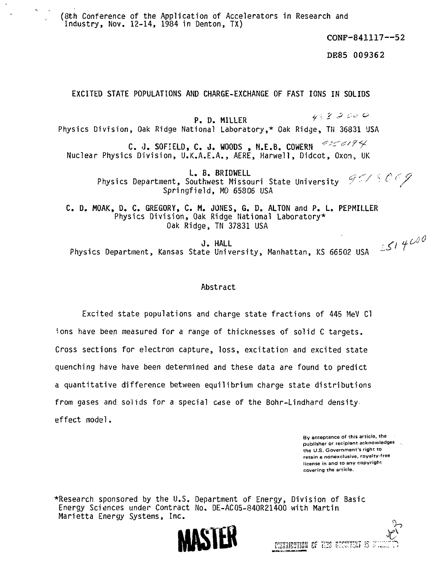(8th Conference of the Application of Accelerators in Research and Industry, Nov. 12-14, 1984 in Denton, TX)

CONF-841117—52

DE85 009362

**EXCITED STATE POPULATIONS AND CHARGE-EXCHANGE OF FAST IONS IN SOLIDS**

P. D. MILLER  $\nu\in\mathbb{Z}$  ,  $\varphi$  to  $\varphi$ Physics Division, Oak Ridge National Laboratory,\* Oak Ridge, TH 36831 USA C. J. SOFIELD, C. J. WOODS , N.E.B. COWERN  $\frac{4256778}{5}$ Nuclear Physics Division, U.K.A.E.A., AERE, Harwell, Didcot, Oxon, UK

> L. B. BRIDWELL  $\mathcal{L} \subset \mathcal{L} \subset \mathcal{L} \subset \mathcal{L}$ Physics Department, Southwest Missouri State University  $\mathscr{D} \times \mathscr{D}$ Springfield, MO 65806 USA

C. D. MOAK, D. C. GREGORY, C. M. JONES, G. D. ALTON and P. L. PEPMILLER Physics Division, Oak Ridge National Laboratory\* Oak Ridge, TN 37831 USA

J. HALL Physics Department, Kansas State University, Manhattan, KS 66502 USA

## **Abstract**

Excited state populations and charge state fractions of 445 MeV Cl ions have been measured for a range of thicknesses of solid C targets. Cross sections for electron capture, loss, excitation and excited state quenching have have been determined and these data are found to predict a quantitative difference between equilibrium charge state distributions from gases and solids for a special case of the Bohr-Lindhard density effect model.

> By acceptance of this article, the publisher or recipient acknowledges (e.g. the U.S. Government's right to retain a nonexclusive, royalty-free license in and to any copyright covering the article.

•Research sponsored by the U.S. Department of Energy, Division of Basic Energy Sciences under Contract No. DE-AC05-840R21400 with Martin Marietta Energy Systems, Inc.



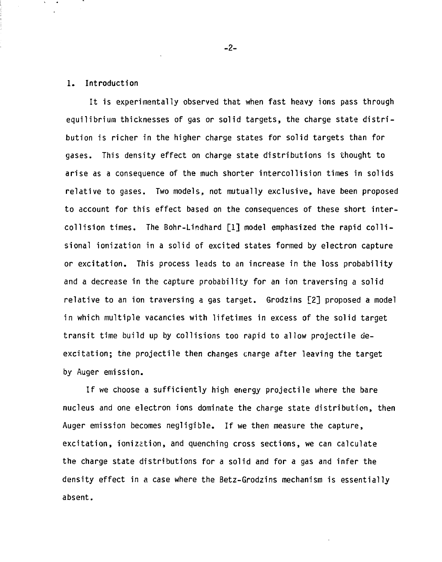## 1. Introduction

It is experimentally observed that when fast heavy ions pass through equilibrium thicknesses of gas or solid targets, the charge state distribution is richer in the higher charge states for solid targets than for gases. This density effect on charge state distributions is thought to arise as a consequence of the much shorter intercollision times in solids relative to gases. Two models, not mutually exclusive, have been proposed to account for this effect based on the consequences of these short intercollision times. The Bohr-Lindhard [1] model emphasized the rapid collisionai ionization in a solid of excited states formed by electron capture or excitation. This process leads to an increase in the loss probability and a decrease in the capture probability for an ion traversing a solid relative to an ion traversing a gas target. Grodzins [2] proposed a model in which multiple vacancies with lifetimes in excess of the solid target transit time build up by collisions too rapid to allow projectile deexcitation; the projectile then changes cnarge after leaving the target by Auger emission.

If we choose a sufficiently high energy projectile where the bare nucleus and one electron ions dominate the charge state distribution, then Auger emission becomes negligible. If we then measure the capture, excitation, ionization, and quenching cross sections, we can calculate the charge state distributions for a solid and for a gas and infer the density effect in a case where the Betz-Grodzins mechanism is essentially absent.

-2-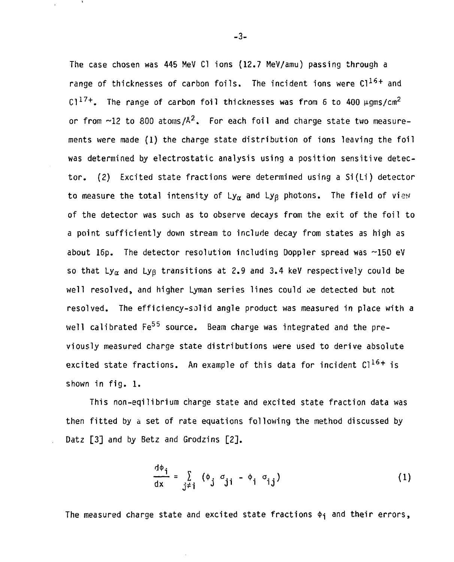The case chosen was 445 MeV Cl ions (12.7 MeV/amu) passing through a range of thicknesses of carbon foils. The incident ions were  $Cl^{16+}$  and C1<sup>17+</sup>. The range of carbon foil thicknesses was from 6 to 400  $\mu$ qms/cm<sup>2</sup> or from  $\sim$ 12 to 800 atoms/ $A^2$ . For each foil and charge state two measurements were made (1) the charge state distribution of ions leaving the foil was determined by electrostatic analysis using a position sensitive detector. (2) Excited state fractions were determined using a Si(Li) detector to measure the total intensity of  $Ly_{\alpha}$  and  $Ly_{\beta}$  photons. The field of view of the detector was such as to observe decays from the exit of the foil to a point sufficiently down stream to include decay from states as high as about 16p. The detector resolution including Doppler spread was ~150 eV so that Ly<sub> $\alpha$ </sub> and Ly<sub>B</sub> transitions at 2.9 and 3.4 keV respectively could be well resolved, and higher Lyman series lines could oe detected but not resolved. The efficiency-solid angle product was measured in place with a well calibrated  $Fe<sup>55</sup>$  source. Beam charge was integrated and the previously measured charge state distributions were used to derive absolute excited state fractions. An example of this data for incident  $Cl^{16+}$  is shown in fig. 1.

This non-eqilibrium charge state and excited state fraction data was then fitted by a set of rate equations following the method discussed by Datz [3] and by Betz and Grodzins [2].

$$
\frac{d\varphi_{j}}{dx} = \sum_{j \neq j} (\varphi_{j} \sigma_{ji} - \varphi_{i} \sigma_{ij})
$$
 (1)

The measured charge state and excited state fractions  $\phi_i$  and their errors,

-3-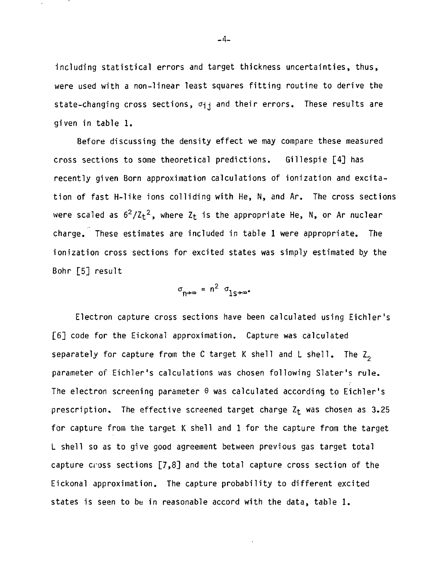including statistical errors and target thickness uncertainties, thus, were used with a non-linear least squares fitting routine to derive the state-changing cross sections,  $\sigma_{ij}$  and their errors. These results are given in table 1.

Before discussing the density effect we may compare these measured cross sections to some theoretical predictions. Gillespie [4] has recently given Born approximation calculations of ionization and excitation of fast H-like ions colliding with He, N, and Ar. The cross sections were scaled as  $6^2/\text{Z}_t^2$ , where  $\text{Z}_t$  is the appropriate He, N, or Ar nuclear charge. These estimates are included in table 1 were appropriate. The ionization cross sections for excited states was simply estimated by the Bohr [5] result

$$
\sigma_{n \to \infty} = n^2 \sigma_{1S \to \infty^*}
$$

Electron capture cross sections have been calculated using Eichler's [6] code for the Eickonal approximation. Capture was calculated separately for capture from the C target K shell and L shell. The  $Z_2$ parameter of Eichler's calculations was chosen following Slater's rule. The electron screening parameter  $\theta$  was calculated according to Eichler's prescription. The effective screened target charge  $Z_t$  was chosen as 3.25 for capture from the target K shell and 1 for the capture from the target L shell so as to give good agreement between previous gas target total capture cross sections [7,8] and the total capture cross section of the Eickonal approximation. The capture probability to different excited states is seen to be in reasonable accord with the data, table 1.

- 4-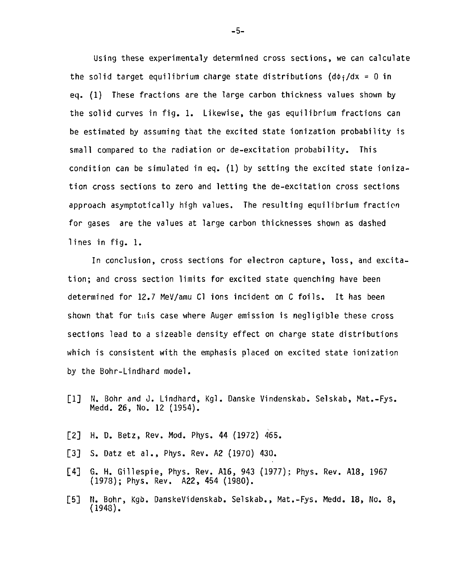Using these experimentaly determined cross sections, we can calculate the solid target equilibrium charge state distributions  $(d\phi_i/dx = 0$  in eq. (1) These fractions are the large carbon thickness values shown by the solid curves in fig. 1. Likewise, the gas equilibrium fractions can be estimated by assuming that the excited state ionization probability is small compared to the radiation or de-excitation probability. This condition can be simulated in eq. (1) by setting the excited state ionization cross sections to zero and letting the de-excitation cross sections approach asymptotically high values. The resulting equilibrium fraction for gases are the values at large carbon thicknesses shown as dashed lines in fig. 1.

In conclusion, cross sections for electron capture, loss, and excitation; and cross section limits for excited state quenching have been determined for 12.7 MeV/amu Cl ions incident on C foils. It has been shown that for tnis case where Auger emission is negligible these cross sections lead to a sizeable density effect on charge state distributions which is consistent with the emphasis placed on excited state ionization by the Bohr-Lindhard model.

- [1] N. Bohr and J. Lindhard, Kgl. Danske Vindenskab. Selskab, Mat.-Fys. Medd. 26, No. 12 (1954).
- [2] H. D. Betz, Rev. Mod. Phys. 44 (1972) 465.
- [3] S. Datz et al., Phys. Rev. A2 (1970) 430.
- [4] G. H. Gillespie, Phys. Rev. A16, 943 (1977): Phys. Rev. A18, 1967 (1973); Phys. Rev. A22, 454 (1980).
- [5] N. Bohr, Kgb. DanskeVidenskab. Selskab., Mat.-Fys. Medd. 18, No. 8, (1943).

-5-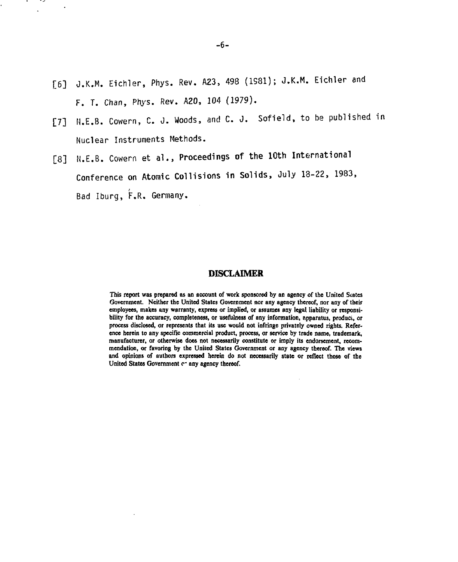[6] J.K.M. Eichler, Phys. Rev. A23, 498 (1981); J.K.M. Eichler and F. T. Chan, Phys. Rev. A20, 104 (1979).

 $\sim$ .,

- [7] N.E.B. Cowern, C. 0. Woods, and C. J. Sofield, to be published in Nuclear Instruments Methods.
- [8] N.E.B. Cowern et al., Proceedings of **the 10th** International Conference on Atomic Collisions in Solids, July 13-22, 1983, Bad Iburg, F.R. Germany.

## **DISCLAIMER**

**This report was prepared as an account of work sponsored by an agency of the United States Government. Neither the United States Government nor any agency thereof, nor any of their employees, makes any warranty, express or implied, or assumes any legal liability or responsi**bility for the accuracy, completeness, or usefulness of any information, apparatus, product, or **process disclosed, or represents that its use would not infringe privately owned rights. Reference herein to any specific commercial product, process, or service by trade name, trademark, manufacturer, or otherwise does not necessarily constitute or imply its endorsement, recommendation, or favoring by the Uniied States Government or any agency thereof. The views and opinions of authors expressed herein do not necessarily state or reflect those of the** United States Government e- any agency thereof.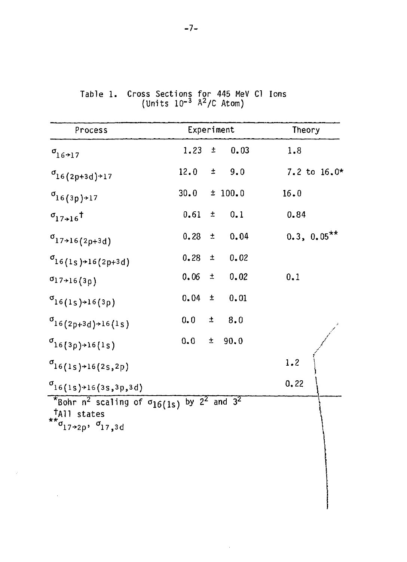| Process                                                                                                                                            | Experiment |       |                     | Theory        |
|----------------------------------------------------------------------------------------------------------------------------------------------------|------------|-------|---------------------|---------------|
| $\sigma$ <sub>16</sub> +17                                                                                                                         | 1.23       |       | 0.03<br>土口          | 1.8           |
| $\sigma_{16(2p+3d)+17}$                                                                                                                            | 12.0       |       | $\pm$ 9.0           | 7.2 to 16.0*  |
| $\sigma_{16(3p) \rightarrow 17}$                                                                                                                   |            |       | $30.0 \pm 100.0$    | 16.0          |
| $\sigma_{17\times16}$ <sup>t</sup>                                                                                                                 |            |       | $0.61 \pm 0.1$      | 0.84          |
| $\sigma_{17\rightarrow16(2p+3d)}$                                                                                                                  |            |       | $0.23 \pm 0.04$     | $0.3, 0.05**$ |
| $\sigma_{16(1s) \rightarrow 16(2p+3d)}$                                                                                                            | 0.28       |       | 0.02<br>$\pm$ $\pm$ |               |
| $\sigma$ 17+16(3p)                                                                                                                                 | 0.06       |       | $\pm 0.02$          | 0.1           |
| $\sigma_{16(1s) \to 16(3p)}$                                                                                                                       |            |       | $0.04 \pm 0.01$     |               |
| $\sigma$ <sub>16</sub> (2 <sub>p+3d</sub> ) + 16(1s)                                                                                               | 0.0        |       | $\pm$ 8.0           |               |
| $\sigma_{16(3p)\text{+}16(1s)}$                                                                                                                    | 0.0        | $\pm$ | 90.0                |               |
| $\sigma_{16(1s)+16(2s,2p)}$                                                                                                                        |            |       |                     | 1.2           |
| $\sigma_{16(1s) \rightarrow 16(3s,3p,3d)}$                                                                                                         |            |       |                     | 0.22          |
| *Bohr $n^2$ scaling of $\sigma_{16(1s)}$ by $2^2$ and $3^2$<br><sup>†</sup> All states<br>** $\sigma$ <sub>17→2p</sub> , $\sigma$ <sub>17,3d</sub> |            |       |                     |               |

 $\sim$ 

 $\sim 10^{11}$  m  $^{-1}$ 

Table 1. Cross Sections for 445 MeV Cl Ions (Units  $10^{-3}$   $\lambda^2$ /C Atom)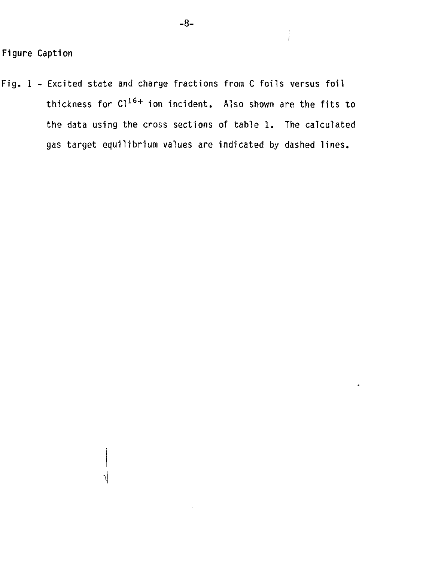Fig. 1 - Excited state and charge fractions from C foils versus foil thickness for  $Cl^{16+}$  ion incident. Also shown are the fits to the data using the cross sections of table 1. The calculated gas target equilibrium values are indicated by dashed lines.

 $\frac{1}{2}$